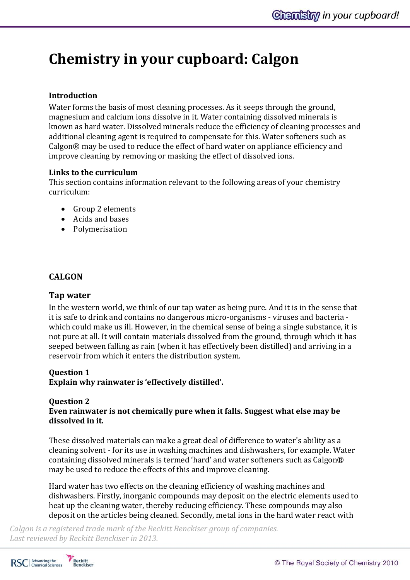# **Chemistry in your cupboard: Calgon**

# **Introduction**

Water forms the basis of most cleaning processes. As it seeps through the ground, magnesium and calcium ions dissolve in it. Water containing dissolved minerals is known as hard water. Dissolved minerals reduce the efficiency of cleaning processes and additional cleaning agent is required to compensate for this. Water softeners such as Calgon® may be used to reduce the effect of hard water on appliance efficiency and improve cleaning by removing or masking the effect of dissolved ions.

#### **Links to the curriculum**

This section contains information relevant to the following areas of your chemistry curriculum:

- Group 2 elements
- Acids and bases
- Polymerisation

# **CALGON**

## **Tap water**

In the western world, we think of our tap water as being pure. And it is in the sense that it is safe to drink and contains no dangerous micro-organisms - viruses and bacteria which could make us ill. However, in the chemical sense of being a single substance, it is not pure at all. It will contain materials dissolved from the ground, through which it has seeped between falling as rain (when it has effectively been distilled) and arriving in a reservoir from which it enters the distribution system.

## **Question 1**

**Explain why rainwater is 'effectively distilled'.**

# **Question 2**

# **Even rainwater is not chemically pure when it falls. Suggest what else may be dissolved in it.**

These dissolved materials can make a great deal of difference to water's ability as a cleaning solvent - for its use in washing machines and dishwashers, for example. Water containing dissolved minerals is termed 'hard' and water softeners such as Calgon® may be used to reduce the effects of this and improve cleaning.

Hard water has two effects on the cleaning efficiency of washing machines and dishwashers. Firstly, inorganic compounds may deposit on the electric elements used to heat up the cleaning water, thereby reducing efficiency. These compounds may also deposit on the articles being cleaned. Secondly, metal ions in the hard water react with



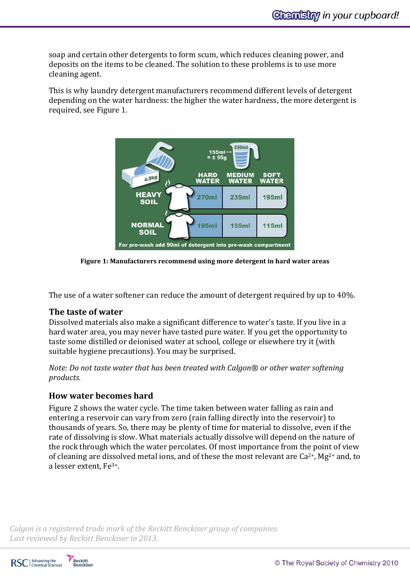soap and certain other detergents to form scum, which reduces cleaning power, and deposits on the items to be cleaned. The solution to these problems is to use more cleaning agent.

This is why laundry detergent manufacturers recommend different levels of detergent depending on the water hardness: the higher the water hardness, the more detergent is required, see Figure 1.



**Figure 1: Manufacturers recommend using more detergent in hard water areas**

The use of a water softener can reduce the amount of detergent required by up to 40%.

## **The taste of water**

Dissolved materials also make a significant difference to water's taste. If you live in a hard water area, you may never have tasted pure water. If you get the opportunity to taste some distilled or deionised water at school, college or elsewhere try it (with suitable hygiene precautions). You may be surprised.

*Note: Do not taste water that has been treated with Calgon® or other water softening products.*

## **How water becomes hard**

Figure 2 shows the water cycle. The time taken between water falling as rain and entering a reservoir can vary from zero (rain falling directly into the reservoir) to thousands of years. So, there may be plenty of time for material to dissolve, even if the rate of dissolving is slow. What materials actually dissolve will depend on the nature of the rock through which the water percolates. Of most importance from the point of view of cleaning are dissolved metal ions, and of these the most relevant are  $Ca^{2+}$ , Mg<sup>2+</sup> and, to a lesser extent, Fe3+.



**Reckitt**<br>Benckiser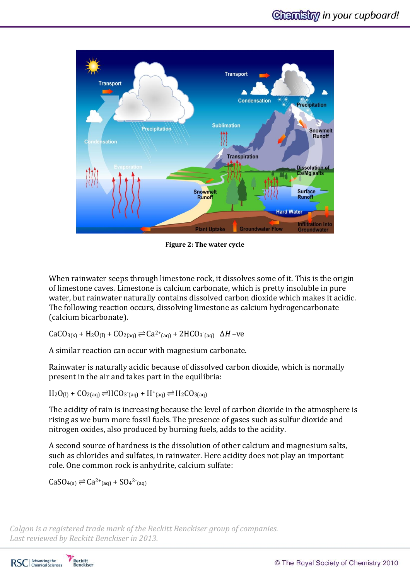

**Figure 2: The water cycle**

When rainwater seeps through limestone rock, it dissolves some of it. This is the origin of limestone caves. Limestone is calcium carbonate, which is pretty insoluble in pure water, but rainwater naturally contains dissolved carbon dioxide which makes it acidic. The following reaction occurs, dissolving limestone as calcium hydrogencarbonate (calcium bicarbonate).

 $CaCO<sub>3(s)</sub> + H<sub>2</sub>O<sub>(l)</sub> + CO<sub>2(aq)</sub>$   $\rightleftharpoons Ca<sup>2+</sup>(aq) + 2HCO<sub>3</sub>(aq)$  Δ*H* –ve

A similar reaction can occur with magnesium carbonate.

Rainwater is naturally acidic because of dissolved carbon dioxide, which is normally present in the air and takes part in the equilibria:

 $H_2O_{(1)}$  +  $CO_{2(aq)}$   $\rightleftharpoons$   $HCO_3$ <sup>-</sup>(aq) +  $H^+$ <sub>(aq)</sub>  $\rightleftharpoons$   $H_2CO_{3(aq)}$ 

The acidity of rain is increasing because the level of carbon dioxide in the atmosphere is rising as we burn more fossil fuels. The presence of gases such as sulfur dioxide and nitrogen oxides, also produced by burning fuels, adds to the acidity.

A second source of hardness is the dissolution of other calcium and magnesium salts, such as chlorides and sulfates, in rainwater. Here acidity does not play an important role. One common rock is anhydrite, calcium sulfate:

 $CaSO_{4(s)} \rightleftharpoons Ca^{2+}({aq}) + SO_4^{2-}({aq})$ 

*Calgon is a registered trade mark of the Reckitt Benckiser group of companies. Last reviewed by Reckitt Benckiser in 2013.*

RSC | Advancing the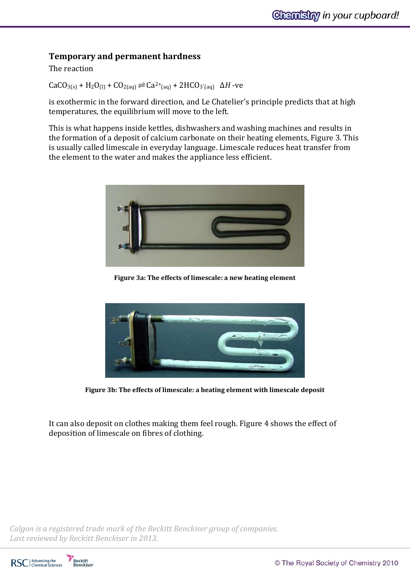# **Temporary and permanent hardness**

The reaction

 $CaCO<sub>3(s)</sub> + H<sub>2</sub>O<sub>(l)</sub> + CO<sub>2(aq)</sub>$   $\rightleftharpoons Ca<sup>2+</sup>(aq) + 2HCO<sub>3</sub>(aq)$  Δ*H* -ve

is exothermic in the forward direction, and Le Chatelier's principle predicts that at high temperatures, the equilibrium will move to the left.

This is what happens inside kettles, dishwashers and washing machines and results in the formation of a deposit of calcium carbonate on their heating elements, Figure 3. This is usually called limescale in everyday language. Limescale reduces heat transfer from the element to the water and makes the appliance less efficient.



**Figure 3a: The effects of limescale: a new heating element** 



**Figure 3b: The effects of limescale: a heating element with limescale deposit**

It can also deposit on clothes making them feel rough. Figure 4 shows the effect of deposition of limescale on fibres of clothing.

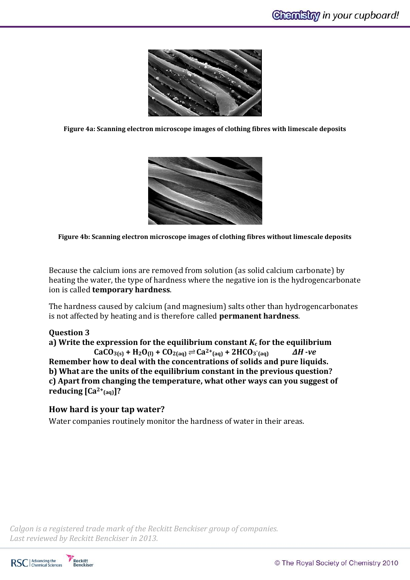

**Figure 4a: Scanning electron microscope images of clothing fibres with limescale deposits**



**Figure 4b: Scanning electron microscope images of clothing fibres without limescale deposits**

Because the calcium ions are removed from solution (as solid calcium carbonate) by heating the water, the type of hardness where the negative ion is the hydrogencarbonate ion is called **temporary hardness**.

The hardness caused by calcium (and magnesium) salts other than hydrogencarbonates is not affected by heating and is therefore called **permanent hardness**.

## **Question 3**

**a)** Write the expression for the equilibrium constant  $K_c$  for the equilibrium **<sub>3(s)</sub> <b>+ <sub>2</sub>** $**O**$ **<sub>(l)</sub> <b>+ <sub>2(aq)</sub>**  $\right)$  $\right)$  $\right)$  $\left| \mathbf{Ca}^{2+}(\text{aq}) + 2\text{H}\text{CO}$ **<sub>3</sub> (aq)** *∆H -ve* **Remember how to deal with the concentrations of solids and pure liquids. b) What are the units of the equilibrium constant in the previous question? c) Apart from changing the temperature, what other ways can you suggest of reducing [Ca2+(aq)]?**

# **How hard is your tap water?**

Water companies routinely monitor the hardness of water in their areas.



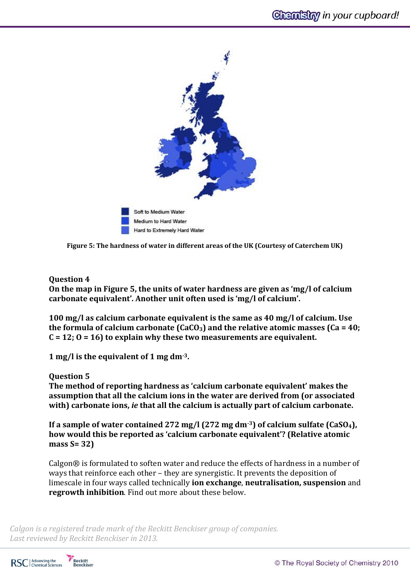

**Figure 5: The hardness of water in different areas of the UK (Courtesy of Caterchem UK)**

# **Question 4**

**On the map in Figure 5, the units of water hardness are given as 'mg/l of calcium carbonate equivalent'. Another unit often used is 'mg/l of calcium'.** 

**100 mg/l as calcium carbonate equivalent is the same as 40 mg/l of calcium. Use the formula of calcium carbonate (CaCO3) and the relative atomic masses (Ca = 40; C = 12; O = 16) to explain why these two measurements are equivalent.** 

**1 mg/l is the equivalent of 1 mg dm-3.**

## **Question 5**

**The method of reporting hardness as 'calcium carbonate equivalent' makes the assumption that all the calcium ions in the water are derived from (or associated with) carbonate ions,** *ie* **that all the calcium is actually part of calcium carbonate.** 

**If a sample of water contained 272 mg/l (272 mg dm-3) of calcium sulfate (CaSO4), how would this be reported as 'calcium carbonate equivalent'? (Relative atomic mass S= 32)**

Calgon® is formulated to soften water and reduce the effects of hardness in a number of ways that reinforce each other – they are synergistic. It prevents the deposition of limescale in four ways called technically **ion exchange**, **neutralisation, suspension** and **regrowth inhibition**. Find out more about these below.



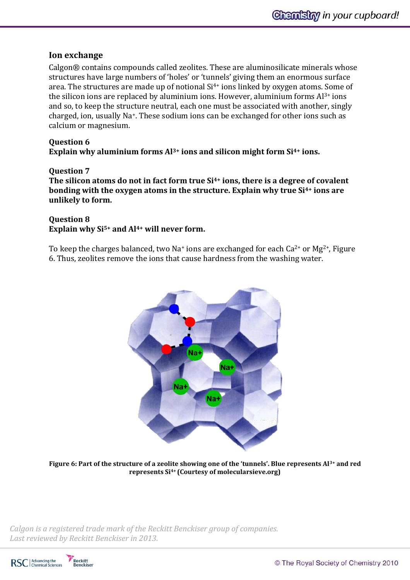# **Ion exchange**

Calgon® contains compounds called zeolites. These are aluminosilicate minerals whose structures have large numbers of 'holes' or 'tunnels' giving them an enormous surface area. The structures are made up of notional Si<sup>4+</sup> ions linked by oxygen atoms. Some of the silicon ions are replaced by aluminium ions. However, aluminium forms  $Al^{3+}$  ions and so, to keep the structure neutral, each one must be associated with another, singly charged, ion, usually Na+. These sodium ions can be exchanged for other ions such as calcium or magnesium.

# **Question 6 Explain why aluminium forms Al3+ ions and silicon might form Si4+ ions.**

#### **Question 7**

**The silicon atoms do not in fact form true Si4+ ions, there is a degree of covalent bonding with the oxygen atoms in the structure. Explain why true Si4+ ions are unlikely to form.**

#### **Question 8**

**Explain why Si5+ and Al4+ will never form.**

To keep the charges balanced, two Na<sup>+</sup> ions are exchanged for each  $Ca^{2+}$  or Mg<sup>2+</sup>, Figure 6. Thus, zeolites remove the ions that cause hardness from the washing water.



**Figure 6: Part of the structure of a zeolite showing one of the 'tunnels'. Blue represents Al3+ and red represents Si4+ (Courtesy of molecularsieve.org)**



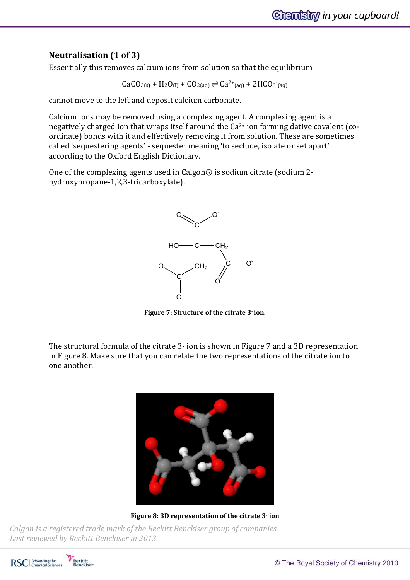# **Neutralisation (1 of 3)**

Essentially this removes calcium ions from solution so that the equilibrium

 $CaCO_{3(s)} + H_2O_{(l)} + CO_{2(aq)} \rightleftharpoons Ca^{2+}(aq) + 2HCO_{3}(aq)$ 

cannot move to the left and deposit calcium carbonate.

Calcium ions may be removed using a complexing agent. A complexing agent is a negatively charged ion that wraps itself around the Ca<sup>2+</sup> ion forming dative covalent (coordinate) bonds with it and effectively removing it from solution. These are sometimes called 'sequestering agents' - sequester meaning 'to seclude, isolate or set apart' according to the Oxford English Dictionary.

One of the complexing agents used in Calgon® is sodium citrate (sodium 2 hydroxypropane-1,2,3-tricarboxylate).



**Figure 7: Structure of the citrate 3- ion.**

The structural formula of the citrate 3- ion is shown in Figure 7 and a 3D representation in Figure 8. Make sure that you can relate the two representations of the citrate ion to one another.



**Figure 8: 3D representation of the citrate 3- ion**

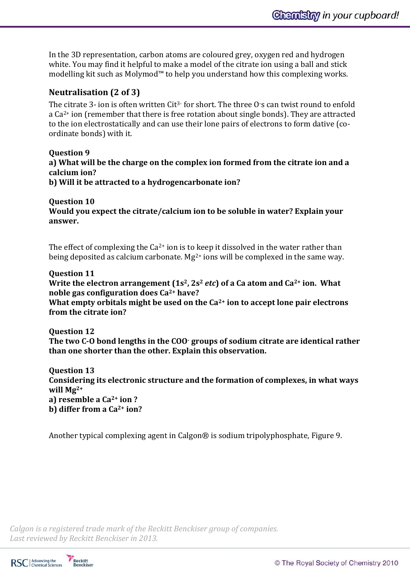In the 3D representation, carbon atoms are coloured grey, oxygen red and hydrogen white. You may find it helpful to make a model of the citrate ion using a ball and stick modelling kit such as Molymod™ to help you understand how this complexing works.

# **Neutralisation (2 of 3)**

The citrate 3- ion is often written Cit<sup>3-</sup> for short. The three O<sup>-</sup>s can twist round to enfold a Ca2+ ion (remember that there is free rotation about single bonds). They are attracted to the ion electrostatically and can use their lone pairs of electrons to form dative (coordinate bonds) with it.

**Question 9 a) What will be the charge on the complex ion formed from the citrate ion and a calcium ion? b) Will it be attracted to a hydrogencarbonate ion?**

**Question 10 Would you expect the citrate/calcium ion to be soluble in water? Explain your answer.**

The effect of complexing the  $Ca^{2+}$  ion is to keep it dissolved in the water rather than being deposited as calcium carbonate.  $Mg^{2+}$  ions will be complexed in the same way.

## **Question 11**

**Write the electron arrangement (1s2, 2s<sup>2</sup>** *etc***) of a Ca atom and Ca2+ ion. What noble gas configuration does Ca2+ have?**

**What empty orbitals might be used on the Ca2+ ion to accept lone pair electrons from the citrate ion?**

**Question 12**

**The two C-O bond lengths in the COO- groups of sodium citrate are identical rather than one shorter than the other. Explain this observation.**

**Question 13 Considering its electronic structure and the formation of complexes, in what ways will Mg2+ a) resemble a Ca2+ ion ? b) differ from a Ca2+ ion?**

Another typical complexing agent in Calgon® is sodium tripolyphosphate, Figure 9.



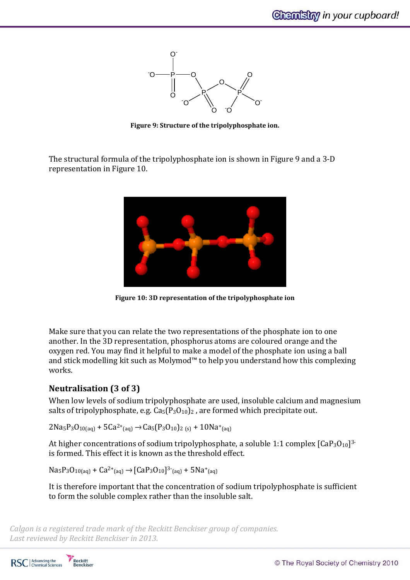

**Figure 9: Structure of the tripolyphosphate ion.**

The structural formula of the tripolyphosphate ion is shown in Figure 9 and a 3-D representation in Figure 10.



**Figure 10: 3D representation of the tripolyphosphate ion**

Make sure that you can relate the two representations of the phosphate ion to one another. In the 3D representation, phosphorus atoms are coloured orange and the oxygen red. You may find it helpful to make a model of the phosphate ion using a ball and stick modelling kit such as Molymod™ to help you understand how this complexing works.

# **Neutralisation (3 of 3)**

When low levels of sodium tripolyphosphate are used, insoluble calcium and magnesium salts of tripolyphosphate, e.g.  $Ca<sub>5</sub>(P<sub>3</sub>O<sub>10</sub>)<sub>2</sub>$ , are formed which precipitate out.

 $2Na<sub>5</sub>P<sub>3</sub>O<sub>10(aq)</sub> + 5Ca<sup>2+</sup><sub>(aq)</sub> \rightarrow Ca<sub>5</sub>(P<sub>3</sub>O<sub>10</sub>)<sub>2 (s)</sub> + 10Na<sup>+</sup><sub>(aq)</sub>$ 

At higher concentrations of sodium tripolyphosphate, a soluble 1:1 complex [CaP3O<sub>10</sub>]3is formed. This effect it is known as the threshold effect.

 $\text{Na}_5\text{P}_3\text{O}_{10(aq)} + \text{Ca}^{2+}_{(aq)} \rightarrow \text{[CaP}_3\text{O}_{10}]^{3-}_{(aq)} + 5\text{Na}^+_{(aq)}$ 

It is therefore important that the concentration of sodium tripolyphosphate is sufficient to form the soluble complex rather than the insoluble salt.

*Calgon is a registered trade mark of the Reckitt Benckiser group of companies. Last reviewed by Reckitt Benckiser in 2013.*

RSC | Advancing the

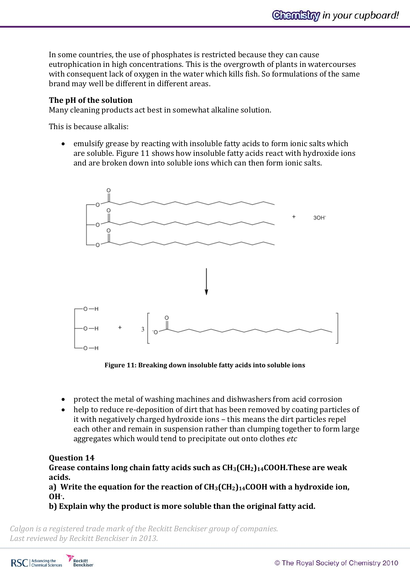In some countries, the use of phosphates is restricted because they can cause eutrophication in high concentrations. This is the overgrowth of plants in watercourses with consequent lack of oxygen in the water which kills fish. So formulations of the same brand may well be different in different areas.

## **The pH of the solution**

Many cleaning products act best in somewhat alkaline solution.

This is because alkalis:

 emulsify grease by reacting with insoluble fatty acids to form ionic salts which are soluble. Figure 11 shows how insoluble fatty acids react with hydroxide ions and are broken down into soluble ions which can then form ionic salts.



**Figure 11: Breaking down insoluble fatty acids into soluble ions**

- protect the metal of washing machines and dishwashers from acid corrosion
- help to reduce re-deposition of dirt that has been removed by coating particles of it with negatively charged hydroxide ions – this means the dirt particles repel each other and remain in suspension rather than clumping together to form large aggregates which would tend to precipitate out onto clothes *etc*

# **Question 14**

**Grease contains long chain fatty acids such as CH3(CH2)14COOH.These are weak acids.**

**a) Write the equation for the reaction of CH3(CH2)14COOH with a hydroxide ion, OH- .** 

**b) Explain why the product is more soluble than the original fatty acid.**

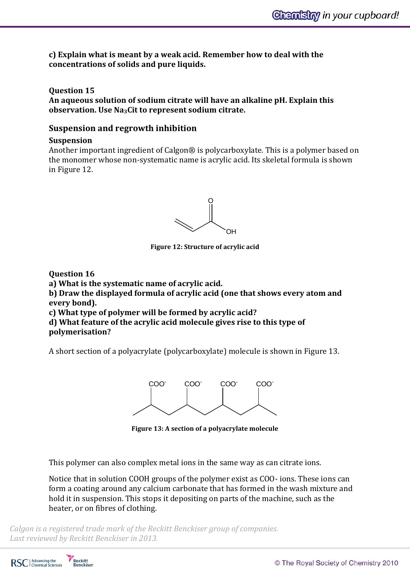**c) Explain what is meant by a weak acid. Remember how to deal with the concentrations of solids and pure liquids.**

**Question 15**

**An aqueous solution of sodium citrate will have an alkaline pH. Explain this observation. Use Na3Cit to represent sodium citrate.**

# **Suspension and regrowth inhibition**

#### **Suspension**

Another important ingredient of Calgon® is polycarboxylate. This is a polymer based on the monomer whose non-systematic name is acrylic acid. Its skeletal formula is shown in Figure 12.



**Figure 12: Structure of acrylic acid**

**Question 16**

**a) What is the systematic name of acrylic acid.**

**b) Draw the displayed formula of acrylic acid (one that shows every atom and every bond).**

**c) What type of polymer will be formed by acrylic acid?**

**d) What feature of the acrylic acid molecule gives rise to this type of polymerisation?**

A short section of a polyacrylate (polycarboxylate) molecule is shown in Figure 13.



**Figure 13: A section of a polyacrylate molecule**

This polymer can also complex metal ions in the same way as can citrate ions.

Notice that in solution COOH groups of the polymer exist as COO- ions. These ions can form a coating around any calcium carbonate that has formed in the wash mixture and hold it in suspension. This stops it depositing on parts of the machine, such as the heater, or on fibres of clothing.

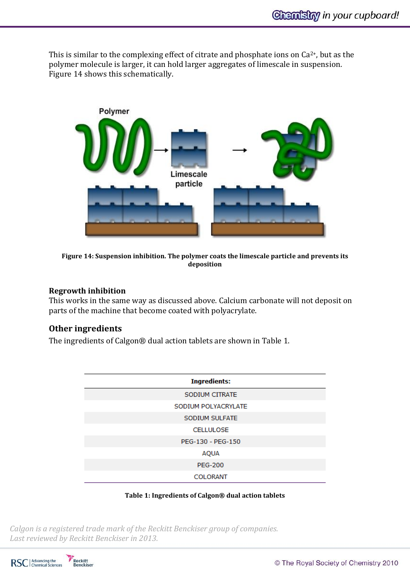This is similar to the complexing effect of citrate and phosphate ions on  $Ca^{2+}$ , but as the polymer molecule is larger, it can hold larger aggregates of limescale in suspension. Figure 14 shows this schematically.



**Figure 14: Suspension inhibition. The polymer coats the limescale particle and prevents its deposition**

### **Regrowth inhibition**

This works in the same way as discussed above. Calcium carbonate will not deposit on parts of the machine that become coated with polyacrylate.

## **Other ingredients**

The ingredients of Calgon® dual action tablets are shown in Table 1.

| <b>Ingredients:</b> |
|---------------------|
|                     |
| SODIUM CITRATE      |
| SODIUM POLYACRYLATE |
| SODIUM SULFATE      |
| <b>CELLULOSE</b>    |
| PEG-130 - PEG-150   |
| <b>AQUA</b>         |
| <b>PEG-200</b>      |
| <b>COLORANT</b>     |

#### **Table 1: Ingredients of Calgon® dual action tablets**

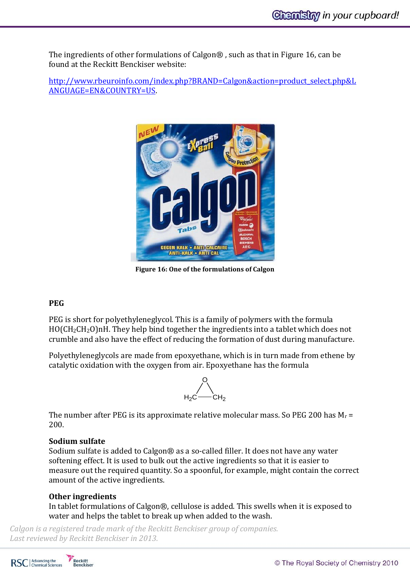The ingredients of other formulations of Calgon® , such as that in Figure 16, can be found at the Reckitt Benckiser website:

[http://www.rbeuroinfo.com/index.php?BRAND=Calgon&action=product\\_select.php&L](http://www.rbeuroinfo.com/index.php?BRAND=Calgon&action=product_select.php&LANGUAGE=EN&COUNTRY=US) [ANGUAGE=EN&COUNTRY=US.](http://www.rbeuroinfo.com/index.php?BRAND=Calgon&action=product_select.php&LANGUAGE=EN&COUNTRY=US)



**Figure 16: One of the formulations of Calgon**

# **PEG**

PEG is short for polyethyleneglycol. This is a family of polymers with the formula HO(CH2CH2O)nH. They help bind together the ingredients into a tablet which does not crumble and also have the effect of reducing the formation of dust during manufacture.

Polyethyleneglycols are made from epoxyethane, which is in turn made from ethene by catalytic oxidation with the oxygen from air. Epoxyethane has the formula



The number after PEG is its approximate relative molecular mass. So PEG 200 has  $M_r =$ 200.

## **Sodium sulfate**

Sodium sulfate is added to Calgon® as a so-called filler. It does not have any water softening effect. It is used to bulk out the active ingredients so that it is easier to measure out the required quantity. So a spoonful, for example, might contain the correct amount of the active ingredients.

# **Other ingredients**

In tablet formulations of Calgon®, cellulose is added. This swells when it is exposed to water and helps the tablet to break up when added to the wash.



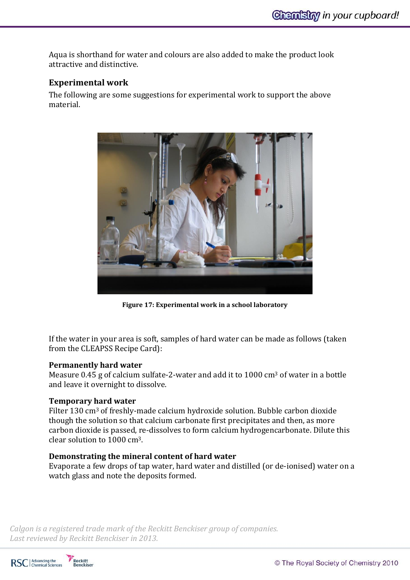Aqua is shorthand for water and colours are also added to make the product look attractive and distinctive.

# **Experimental work**

The following are some suggestions for experimental work to support the above material.



**Figure 17: Experimental work in a school laboratory**

If the water in your area is soft, samples of hard water can be made as follows (taken from the CLEAPSS Recipe Card):

## **Permanently hard water**

Measure 0.45 g of calcium sulfate-2-water and add it to  $1000 \text{ cm}^3$  of water in a bottle and leave it overnight to dissolve.

## **Temporary hard water**

Filter 130 cm<sup>3</sup> of freshly-made calcium hydroxide solution. Bubble carbon dioxide though the solution so that calcium carbonate first precipitates and then, as more carbon dioxide is passed, re-dissolves to form calcium hydrogencarbonate. Dilute this clear solution to 1000 cm3.

## **Demonstrating the mineral content of hard water**

Evaporate a few drops of tap water, hard water and distilled (or de-ionised) water on a watch glass and note the deposits formed.



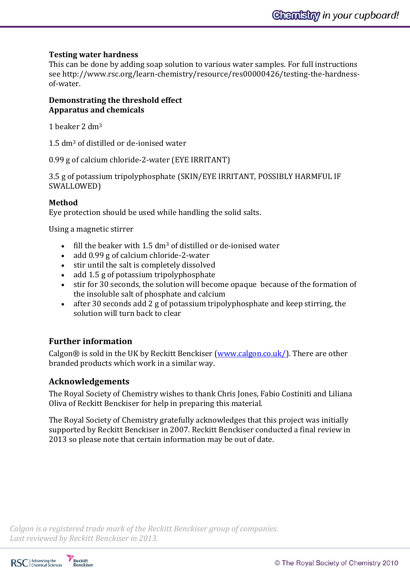# **Testing water hardness**

This can be done by adding soap solution to various water samples. For full instructions see http://www.rsc.org/learn-chemistry/resource/res00000426/testing-the-hardnessof-water.

#### **Demonstrating the threshold effect Apparatus and chemicals**

1 beaker 2 dm<sup>3</sup>

1.5 dm<sup>3</sup> of distilled or de-ionised water

0.99 g of calcium chloride-2-water (EYE IRRITANT)

3.5 g of potassium tripolyphosphate (SKIN/EYE IRRITANT, POSSIBLY HARMFUL IF SWALLOWED)

# **Method**

Eye protection should be used while handling the solid salts.

Using a magnetic stirrer

- $\bullet$  fill the beaker with 1.5 dm<sup>3</sup> of distilled or de-ionised water
- add 0.99 g of calcium chloride-2-water
- stir until the salt is completely dissolved
- add 1.5 g of potassium tripolyphosphate
- stir for 30 seconds, the solution will become opaque because of the formation of the insoluble salt of phosphate and calcium
- after 30 seconds add 2 g of potassium tripolyphosphate and keep stirring, the solution will turn back to clear

# **Further information**

Calgon® is sold in the UK by Reckitt Benckiser [\(www.calgon.co.uk/\)](http://www.calgon.co.uk/). There are other branded products which work in a similar way.

# **Acknowledgements**

The Royal Society of Chemistry wishes to thank Chris Jones, Fabio Costiniti and Liliana Oliva of Reckitt Benckiser for help in preparing this material.

The Royal Society of Chemistry gratefully acknowledges that this project was initially supported by Reckitt Benckiser in 2007. Reckitt Benckiser conducted a final review in 2013 so please note that certain information may be out of date.

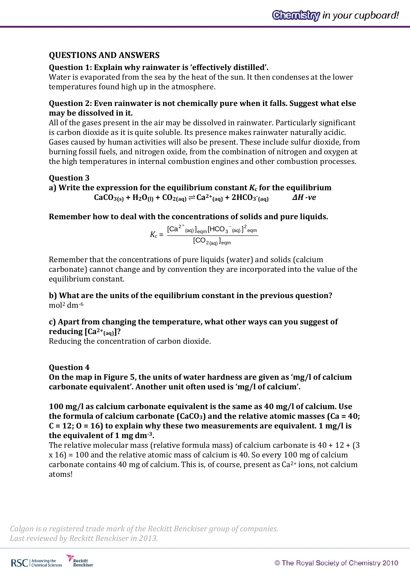# **QUESTIONS AND ANSWERS**

# **Question 1: Explain why rainwater is 'effectively distilled'.**

Water is evaporated from the sea by the heat of the sun. It then condenses at the lower temperatures found high up in the atmosphere.

# **Question 2: Even rainwater is not chemically pure when it falls. Suggest what else may be dissolved in it.**

All of the gases present in the air may be dissolved in rainwater. Particularly significant is carbon dioxide as it is quite soluble. Its presence makes rainwater naturally acidic. Gases caused by human activities will also be present. These include sulfur dioxide, from burning fossil fuels, and nitrogen oxide, from the combination of nitrogen and oxygen at the high temperatures in internal combustion engines and other combustion processes.

# **Question 3**

a) Write the expression for the equilibrium constant  $K_c$  for the equilibrium  $\text{CaCO}_{3(s)}$  + H<sub>2</sub>O<sub>(l)</sub> + CO<sub>2(aq)</sub>  $\rightleftharpoons$  Ca<sup>2+</sup><sub>(aq)</sub> + 2HCO<sub>3</sub> **(aq)** *∆H -ve*

# **Remember how to deal with the concentrations of solids and pure liquids.**

 $K_c =$ 2<sub>(aq)</sub> Jeqm  $^{\mathsf{2^{+}}}$ (aq)  $\mathsf{]}_{\mathsf{eqm}}$ [<code>HCO $_3^{-}$ (aq)</code>  $\mathsf{]}^{\mathsf{2}}$ eqm  $[\mathsf{CO}_{2\mathsf{(an)}}]$  $\left[\mathsf{Ca}^{2^+}$ <sub>(aq)</sub>  $\right]_\mathsf{eam}$ [HCO $_3^-$ <sub>(aq)</sub> ]

Remember that the concentrations of pure liquids (water) and solids (calcium carbonate) cannot change and by convention they are incorporated into the value of the equilibrium constant.

**b) What are the units of the equilibrium constant in the previous question?** mol<sup>2</sup> dm-6

# **c) Apart from changing the temperature, what other ways can you suggest of reducing [Ca2+(aq)]?**

Reducing the concentration of carbon dioxide.

# **Question 4**

**On the map in Figure 5, the units of water hardness are given as 'mg/l of calcium carbonate equivalent'. Another unit often used is 'mg/l of calcium'.** 

**100 mg/l as calcium carbonate equivalent is the same as 40 mg/l of calcium. Use the formula of calcium carbonate (CaCO3) and the relative atomic masses (Ca = 40; C = 12; O = 16) to explain why these two measurements are equivalent. 1 mg/l is the equivalent of 1 mg dm-3.**

The relative molecular mass (relative formula mass) of calcium carbonate is  $40 + 12 + (3)$ x 16) = 100 and the relative atomic mass of calcium is 40. So every 100 mg of calcium carbonate contains 40 mg of calcium. This is, of course, present as  $Ca^{2+}$  ions, not calcium atoms!



Reckitt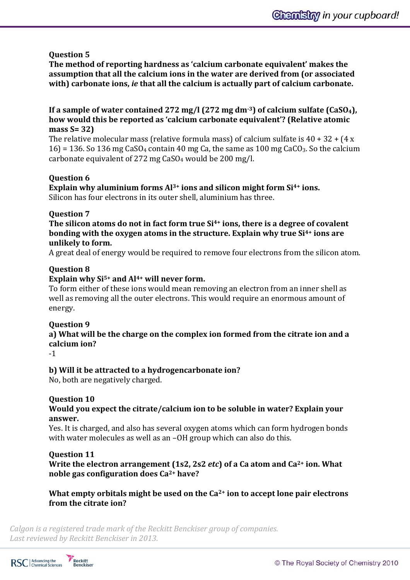# **Question 5**

**The method of reporting hardness as 'calcium carbonate equivalent' makes the assumption that all the calcium ions in the water are derived from (or associated with) carbonate ions,** *ie* **that all the calcium is actually part of calcium carbonate.** 

## **If a sample of water contained 272 mg/l (272 mg dm-3) of calcium sulfate (CaSO4), how would this be reported as 'calcium carbonate equivalent'? (Relative atomic mass S= 32)**

The relative molecular mass (relative formula mass) of calcium sulfate is  $40 + 32 + (4 \times 12)$  $16$  = 136. So 136 mg CaSO<sub>4</sub> contain 40 mg Ca, the same as 100 mg CaCO<sub>3</sub>. So the calcium carbonate equivalent of 272 mg CaSO<sup>4</sup> would be 200 mg/l.

## **Question 6**

**Explain why aluminium forms Al3+ ions and silicon might form Si4+ ions.** Silicon has four electrons in its outer shell, aluminium has three.

# **Question 7**

**The silicon atoms do not in fact form true Si4+ ions, there is a degree of covalent bonding with the oxygen atoms in the structure. Explain why true Si4+ ions are unlikely to form.**

A great deal of energy would be required to remove four electrons from the silicon atom.

## **Question 8**

# **Explain why Si5+ and Al4+ will never form.**

To form either of these ions would mean removing an electron from an inner shell as well as removing all the outer electrons. This would require an enormous amount of energy.

## **Question 9**

**a) What will be the charge on the complex ion formed from the citrate ion and a calcium ion?** 

-1

# **b) Will it be attracted to a hydrogencarbonate ion?**

No, both are negatively charged.

# **Question 10**

# **Would you expect the citrate/calcium ion to be soluble in water? Explain your answer.**

Yes. It is charged, and also has several oxygen atoms which can form hydrogen bonds with water molecules as well as an -OH group which can also do this.

## **Question 11**

**Write the electron arrangement (1s2, 2s2** *etc***) of a Ca atom and Ca2+ ion. What noble gas configuration does Ca2+ have?** 

# **What empty orbitals might be used on the Ca2+ ion to accept lone pair electrons from the citrate ion?**



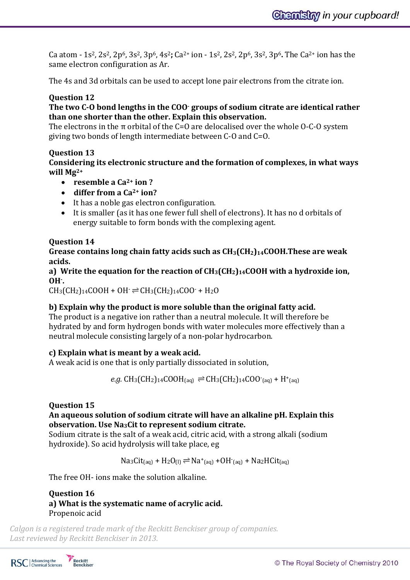Ca atom - 1s2, 2s2, 2p6, 3s2, 3p6, 4s2**;** Ca2+ ion - 1s2, 2s2, 2p6, 3s2, 3p6**.** The Ca2+ ion has the same electron configuration as Ar.

The 4s and 3d orbitals can be used to accept lone pair electrons from the citrate ion.

# **Question 12**

# **The two C-O bond lengths in the COO- groups of sodium citrate are identical rather than one shorter than the other. Explain this observation.**

The electrons in the  $\pi$  orbital of the C=O are delocalised over the whole O-C-O system giving two bonds of length intermediate between C-O and C=O.

# **Question 13**

## **Considering its electronic structure and the formation of complexes, in what ways will Mg2+**

- **resemble a Ca2+ ion ?**
- **differ from a Ca2+ ion?**
- It has a noble gas electron configuration.
- It is smaller (as it has one fewer full shell of electrons). It has no d orbitals of energy suitable to form bonds with the complexing agent.

# **Question 14**

**Grease contains long chain fatty acids such as CH3(CH2)14COOH.These are weak acids.**

**a) Write the equation for the reaction of CH3(CH2)14COOH with a hydroxide ion, OH- .** 

 $CH_3(CH_2)_{14}COOH + OH \rightleftharpoons CH_3(CH_2)_{14}COO + H_2O$ 

# **b) Explain why the product is more soluble than the original fatty acid.**

The product is a negative ion rather than a neutral molecule. It will therefore be hydrated by and form hydrogen bonds with water molecules more effectively than a neutral molecule consisting largely of a non-polar hydrocarbon.

# **c) Explain what is meant by a weak acid.**

A weak acid is one that is only partially dissociated in solution,

 $e.g. \text{CH}_3(\text{CH}_2)_{14}\text{COOH}_{(aq)} \rightleftharpoons \text{CH}_3(\text{CH}_2)_{14}\text{COO}^-_{(aq)} + \text{H}^+_{(aq)}$ 

# **Question 15**

## **An aqueous solution of sodium citrate will have an alkaline pH. Explain this observation. Use Na3Cit to represent sodium citrate.**

Sodium citrate is the salt of a weak acid, citric acid, with a strong alkali (sodium hydroxide). So acid hydrolysis will take place, eg

 $\text{Na}_3\text{Cit}_{\text{(aq)}} + \text{H}_2\text{O}_{\text{(l)}} \rightleftharpoons \text{Na}^{\text{+}}_{\text{(aq)}} + \text{OH}^{\text{-}}_{\text{(aq)}} + \text{Na}_2\text{H}\text{Cit}_{\text{(aq)}}$ 

The free OH- ions make the solution alkaline.

**Question 16 a) What is the systematic name of acrylic acid.** Propenoic acid